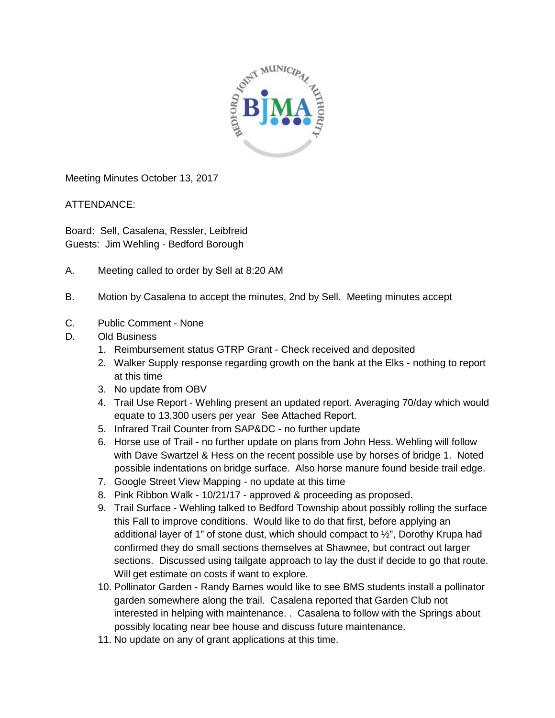

Meeting Minutes October 13, 2017

ATTENDANCE:

Board: Sell, Casalena, Ressler, Leibfreid Guests: Jim Wehling - Bedford Borough

- A. Meeting called to order by Sell at 8:20 AM
- B. Motion by Casalena to accept the minutes, 2nd by Sell. Meeting minutes accept
- C. Public Comment None
- D. Old Business
	- 1. Reimbursement status GTRP Grant Check received and deposited
	- 2. Walker Supply response regarding growth on the bank at the Elks nothing to report at this time
	- 3. No update from OBV
	- 4. Trail Use Report Wehling present an updated report. Averaging 70/day which would equate to 13,300 users per year See Attached Report.
	- 5. Infrared Trail Counter from SAP&DC no further update
	- 6. Horse use of Trail no further update on plans from John Hess. Wehling will follow with Dave Swartzel & Hess on the recent possible use by horses of bridge 1. Noted possible indentations on bridge surface. Also horse manure found beside trail edge.
	- 7. Google Street View Mapping no update at this time
	- 8. Pink Ribbon Walk 10/21/17 approved & proceeding as proposed.
	- 9. Trail Surface Wehling talked to Bedford Township about possibly rolling the surface this Fall to improve conditions. Would like to do that first, before applying an additional layer of 1" of stone dust, which should compact to  $\frac{1}{2}$ ", Dorothy Krupa had confirmed they do small sections themselves at Shawnee, but contract out larger sections. Discussed using tailgate approach to lay the dust if decide to go that route. Will get estimate on costs if want to explore.
	- 10. Pollinator Garden Randy Barnes would like to see BMS students install a pollinator garden somewhere along the trail. Casalena reported that Garden Club not interested in helping with maintenance. . Casalena to follow with the Springs about possibly locating near bee house and discuss future maintenance.
	- 11. No update on any of grant applications at this time.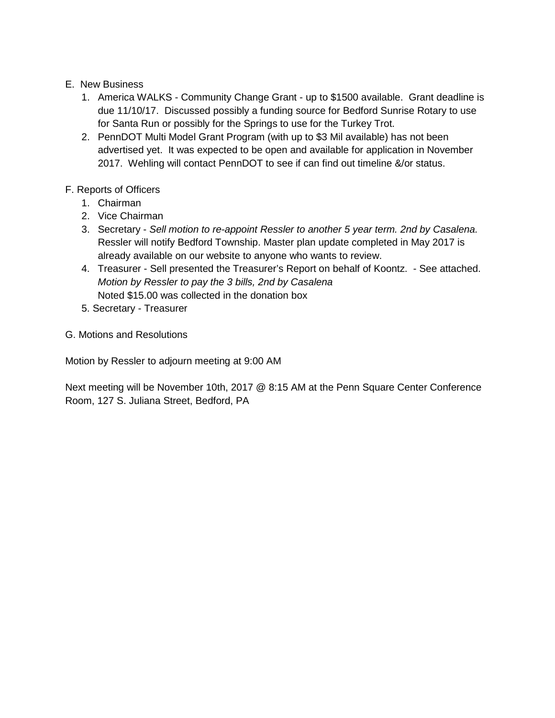## E. New Business

- 1. America WALKS Community Change Grant up to \$1500 available. Grant deadline is due 11/10/17. Discussed possibly a funding source for Bedford Sunrise Rotary to use for Santa Run or possibly for the Springs to use for the Turkey Trot.
- 2. PennDOT Multi Model Grant Program (with up to \$3 Mil available) has not been advertised yet. It was expected to be open and available for application in November 2017. Wehling will contact PennDOT to see if can find out timeline &/or status.

## F. Reports of Officers

- 1. Chairman
- 2. Vice Chairman
- 3. Secretary *Sell motion to re-appoint Ressler to another 5 year term. 2nd by Casalena.* Ressler will notify Bedford Township. Master plan update completed in May 2017 is already available on our website to anyone who wants to review.
- 4. Treasurer Sell presented the Treasurer's Report on behalf of Koontz. See attached. *Motion by Ressler to pay the 3 bills, 2nd by Casalena* Noted \$15.00 was collected in the donation box
- 5. Secretary Treasurer
- G. Motions and Resolutions

Motion by Ressler to adjourn meeting at 9:00 AM

Next meeting will be November 10th, 2017 @ 8:15 AM at the Penn Square Center Conference Room, 127 S. Juliana Street, Bedford, PA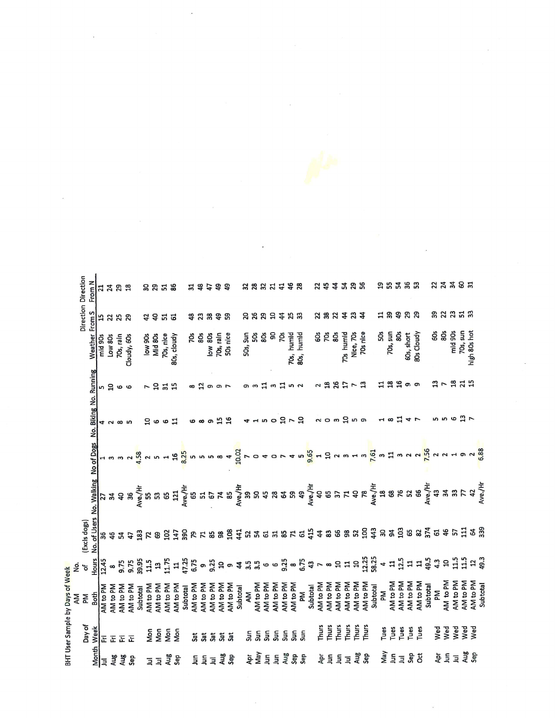| 33 38 2 2 3 3 3 4 5 5 5 6 7 8 2 5 4<br><b>5 5 គី 5 8</b><br>47,25<br>39.95<br>11.75<br>9.25<br>6.75<br><b>So \$ \$ \$</b><br>9.75<br>9.75<br>11.5<br>$\mathbf{u}$<br>$\mathbf{r}$<br>NH <sub>0</sub> pM<br>NH <sub>0</sub> to PM<br>NN <sub>to PM</sub><br>AM to PM<br>NA to PM<br>NH <sub>o</sub> bM<br>AM <sub>to PM</sub><br>NH <sub>o</sub> to PM<br>NH <sub>o</sub> t MA<br>NH <sub>0</sub> PM<br>AM <sub>to PM</sub><br>AM to PM<br>Subtotal<br>Subtotal<br>Subtotal | 46<br>36<br>Hours<br>12.45                                                                                         | (Excls dogs)                                                                                                                                                                                                            |                                     | No. of Users No. Walking<br>ង<br>ក្នុំ ក្នុង ក្នុង ក្នុង ក្នុង ក្នុង ក្នុង ក្នុង ក្នុង ក្នុង ក្នុង<br>ក្នុង ក្នុង ក្នុង ក្នុង ក្នុង ក្នុង ក្នុង ក្នុង ក្នុង ក្នុង ក្នុង ក្នុង ក្នុង ក្នុង ក្នុង ក្នុង ក្នុង ក្នុង ក្<br>ន<br>សូម ។<br><b>ន</b><br><b>56 21</b> | No of Dogs No. Biking No. Running<br>$16$<br>$8.25$<br>1.58<br><b>50000</b><br>S | 15<br>음 @ @ 급<br>ဖ ထ တ<br>$N$ $\infty$ $N$ | <b>ក 9 ដ 9</b><br>2<br>n 9 0 0<br>$\sigma$ $\sigma$ $\sim$<br>$\infty$ | Weather From S<br>8Os<br>low 80s<br>70s, rain<br>50s nice<br>low 90s<br>Mid 80s<br>70s, nice<br>žg<br>80s, cloudy<br>Low 80s<br>70s, rain<br>mid 90s<br>Cloudy, 60s | $\ddot{a}$<br><b># 23</b><br>38<br>က္တ<br>5252<br><b>SSHS</b> | From N<br>3388<br>8858<br>34.5<br>유 유 |
|----------------------------------------------------------------------------------------------------------------------------------------------------------------------------------------------------------------------------------------------------------------------------------------------------------------------------------------------------------------------------------------------------------------------------------------------------------------------------|--------------------------------------------------------------------------------------------------------------------|-------------------------------------------------------------------------------------------------------------------------------------------------------------------------------------------------------------------------|-------------------------------------|----------------------------------------------------------------------------------------------------------------------------------------------------------------------------------------------------------------------------------------------------------------|----------------------------------------------------------------------------------|--------------------------------------------|------------------------------------------------------------------------|---------------------------------------------------------------------------------------------------------------------------------------------------------------------|---------------------------------------------------------------|---------------------------------------|
| <u>អ្នក ទី</u>                                                                                                                                                                                                                                                                                                                                                                                                                                                             | AM <sub>to PM</sub><br>AM <sub>to PM</sub><br>ξ                                                                    |                                                                                                                                                                                                                         |                                     |                                                                                                                                                                                                                                                                | $\frac{10.02}{7}$                                                                |                                            | S                                                                      | ဌ<br>50s, Sun<br>50s<br>80s                                                                                                                                         | 88997                                                         | <b>3833488</b>                        |
| ទី<br>ទី<br>Sun<br>5un                                                                                                                                                                                                                                                                                                                                                                                                                                                     | AM <sub>to PM</sub><br>AM <sub>to PM</sub><br>AM <sub>to PM</sub><br>Subtotal<br>Mg                                | $\begin{array}{c} 0 & 0 & 0 \\ 0 & 0 & 0 \\ 0 & 0 & 0 \\ \end{array} \begin{array}{c} 0 & 0 & 0 \\ 0 & 0 & 0 \\ 0 & 0 & 0 \\ \end{array} \begin{array}{c} \frac{1}{2} & 0 & 0 \\ 0 & 0 & 0 \\ 0 & 0 & 0 \\ \end{array}$ |                                     |                                                                                                                                                                                                                                                                | 9,65<br>45                                                                       | <b>4150m7m</b>                             | <b>ដ ๓ ដ</b><br>m <sub>2</sub>                                         | 70s, humid<br>6Os<br>Ź.<br>80s, humid                                                                                                                               | ಸಿ ಇ                                                          |                                       |
| Thurs<br>Thurs<br>Thurs<br>Thurs<br>Thurs<br>Thurs                                                                                                                                                                                                                                                                                                                                                                                                                         | AM <sub>to PM</sub><br>AM to PM<br>NH <sub>o</sub> t MA<br>NN to PM<br>AM to PM<br>AM <sub>to PM</sub><br>Subtotal | $19235$<br>$2235$                                                                                                                                                                                                       | # # # # # # #                       |                                                                                                                                                                                                                                                                | $2 \times m + m$<br>$\mathbf{H}$                                                 | $\alpha$ om $\alpha$ no                    | $25 - 2$<br>$\frac{8}{16}$<br>2                                        | 70s<br>ន្លិ<br>70s humid<br>Nice, 70s<br>70s nice                                                                                                                   | 232333                                                        | 25338                                 |
| Tues<br>Tues<br>Tues<br>Tues<br>Tues                                                                                                                                                                                                                                                                                                                                                                                                                                       | NN <sub>to PM</sub><br>AM to PM<br><b>AM</b> to PM<br>AM to PM<br>Subtotal<br>Μ                                    | 12.5<br>149.3<br>47<br>H                                                                                                                                                                                                | ន ឌុ ដូ                             |                                                                                                                                                                                                                                                                | $\frac{6}{10}$ a                                                                 | 日<br>$\sim$<br>$-1$ 00                     | Ξ<br>$\overline{16}$<br>;<br>თო                                        | 70s, sun<br>80s<br>80s Cloudy<br>50s<br>60s, short                                                                                                                  | <b>HR \$ 8 8</b>                                              | <b>១ 5 3 5 6 5</b>                    |
| Wed<br>Wed<br>Wed<br>Wed<br>Wed                                                                                                                                                                                                                                                                                                                                                                                                                                            | AM to PM<br>AM to PM<br>AM to PM<br>AM <sub>to PM</sub><br>Subtotal<br>ΣÃ                                          | $12^{49.3}$<br>9, 5, 5                                                                                                                                                                                                  | <b>64</b><br>339<br>8 2 2 3 4 5 5 5 | Ave./Hr<br>エース<br>マッキー<br>インストリー                                                                                                                                                                                                                               | 6.88<br>$\frac{1}{1}$ a a a $\frac{16}{10}$ a a $\frac{1}{10}$                   | <b>5 ឆ ច អូ ក</b>                          | <b>1178115</b>                                                         | 70s, sun<br>high 80s hot<br>ទី ទី<br>mid 90s                                                                                                                        | <b>ខេត្ត អូ</b>                                               | <b>23385</b>                          |

 $\label{eq:2} \frac{1}{\sqrt{2}}\sum_{i=1}^n\frac{1}{\sqrt{2\pi i}}\sum_{i=1}^n\frac{1}{\sqrt{2\pi i}}\sum_{i=1}^n\frac{1}{\sqrt{2\pi i}}\sum_{i=1}^n\frac{1}{\sqrt{2\pi i}}\sum_{i=1}^n\frac{1}{\sqrt{2\pi i}}\sum_{i=1}^n\frac{1}{\sqrt{2\pi i}}\sum_{i=1}^n\frac{1}{\sqrt{2\pi i}}\sum_{i=1}^n\frac{1}{\sqrt{2\pi i}}\sum_{i=1}^n\frac{1}{\sqrt{2\pi i}}\sum_{i=$ 

 $\label{eq:2.1} \frac{1}{\sqrt{2}}\int_{\mathbb{R}^3} \frac{d\mu}{\sqrt{2}}\,d\mu\int_{\mathbb{R}^3} \frac{d\mu}{\sqrt{2}}\,d\mu\int_{\mathbb{R}^3} \frac{d\mu}{\sqrt{2}}\,d\mu\int_{\mathbb{R}^3} \frac{d\mu}{\sqrt{2}}\,d\mu\int_{\mathbb{R}^3} \frac{d\mu}{\sqrt{2}}\,d\mu\int_{\mathbb{R}^3} \frac{d\mu}{\sqrt{2}}\,d\mu\int_{\mathbb{R}^3} \frac{d\mu}{\sqrt{2}}\,d$ 

 $\frac{1}{2}$ 

 $\label{eq:2.1} \frac{1}{\sqrt{2}}\int_{\mathbb{R}^3}\frac{1}{\sqrt{2}}\left(\frac{1}{\sqrt{2}}\right)^2\left(\frac{1}{\sqrt{2}}\right)^2\left(\frac{1}{\sqrt{2}}\right)^2\left(\frac{1}{\sqrt{2}}\right)^2\left(\frac{1}{\sqrt{2}}\right)^2.$ 

 $\mathcal{H}^{\text{max}}$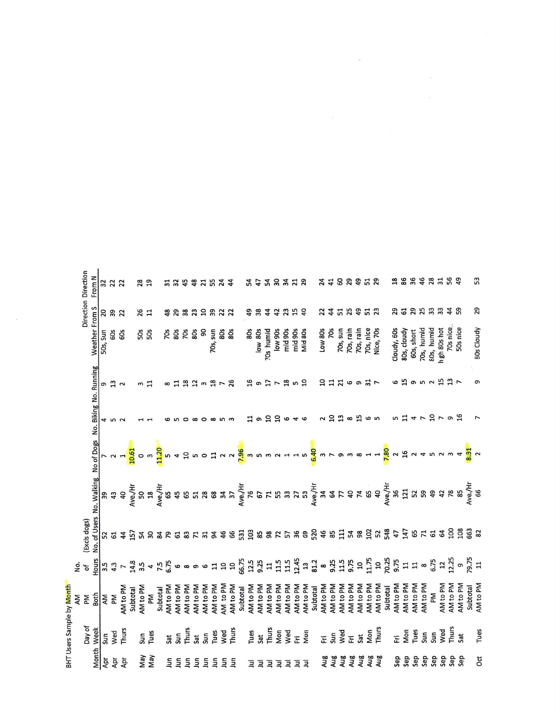|                |                | BHT Users Sample by Month |                           |                  |                                                            |                                                           |                  |                         |                 |                |                               |
|----------------|----------------|---------------------------|---------------------------|------------------|------------------------------------------------------------|-----------------------------------------------------------|------------------|-------------------------|-----------------|----------------|-------------------------------|
|                |                | ĄΜ                        | ρġ.                       |                  |                                                            |                                                           |                  |                         |                 |                |                               |
|                | Day of         | Μ                         | đ                         | (Excls dogs)     |                                                            |                                                           |                  |                         | Weather From S  |                | Direction Direction<br>From N |
| Month          | Week           | Both                      | Hours                     |                  | No. of Users No. Walking No of Dogs No. Biking No. Running |                                                           |                  |                         |                 |                |                               |
| Apr            | Sun            | ΜV                        |                           | 52               | 39                                                         |                                                           |                  | G                       | 50s, Sun        | 20             | 32                            |
| Apr            | Wed            | ΣĀ                        | 3.5<br>4.3                | 61               |                                                            |                                                           | 5<br>2<br>2      | $\frac{3}{2}$           | 60s             | 39<br>22       | 22                            |
| Ąpr            | Thurs          | AM <sub>to PM</sub>       | $\overline{r}$            | 44               | $43$                                                       |                                                           |                  |                         | 60s             |                | 22                            |
|                |                | Subtotal                  |                           |                  | We./H                                                      | 10.61                                                     |                  |                         |                 |                |                               |
| Vay            | Sun            | AM <sub>to PM</sub>       | $14.8$<br>3.5             |                  | 50                                                         | $\circ$                                                   |                  | ω                       | <b>50g</b>      | 26             | <b>28</b><br>19               |
| Nay            | Tues           | Md                        | $\blacktriangleleft$      | <b>ក្អាន នគ</b>  | $\frac{8}{10}$                                             | $\mathsf m$                                               |                  | 급                       |                 | $\overline{1}$ |                               |
|                |                | Subtotal                  |                           |                  | Ave./H                                                     | 11,20                                                     |                  |                         |                 |                |                               |
| Ξ              | Sat            | AM <sub>to PM</sub>       | 7.5<br>6.75               |                  | 65                                                         | 5                                                         |                  | $\approx$ $\frac{1}{1}$ | 70s             | 48             | $\frac{1}{3}$ $\frac{1}{2}$   |
| Ξ              | Sun            | AM <sub>to PM</sub>       |                           | 5                | 45                                                         | 4                                                         |                  |                         | 8Os             |                |                               |
| ξ              | Thurs          | AM <sub>to PM</sub>       |                           | 83               |                                                            |                                                           |                  |                         | 70s             | 38             | 45                            |
| Ξ              | Sat            | AM <sub>to PM</sub>       | <u>ဖ</u> ထ တ ဖ            | $\mathbf{r}$     | <b>65 R</b>                                                |                                                           | $\infty$ $\circ$ | 23 m 23                 | 8OS             | 23             | $\frac{8}{3}$                 |
| $\Xi$          | Sun            | AM <sub>to PM</sub>       |                           | $\overline{31}$  |                                                            |                                                           |                  |                         | 90              | 5              |                               |
| $\overline{a}$ | Tues           | AM <sub>to PM</sub>       | $\Xi$                     | 94               | 68                                                         |                                                           | $\infty$         |                         | 70s, sun        |                | 71.54                         |
| Ξ              | Wed            | AM to PM                  | $\overline{\mathfrak{a}}$ | 46               |                                                            |                                                           | ഗത               | 78                      | 80s             | <b>322</b>     |                               |
| ξ              | Thurs          | AM <sub>to PM</sub>       | $\overline{a}$            | 66               | 37                                                         |                                                           |                  |                         | 8O <sub>S</sub> |                | $\ddot{a}$                    |
|                |                | Subtotal                  | 66.75                     | 531              |                                                            | <mark>មិលខ្មីបប<mark>ច្</mark>លី <sup>ល</sup>ហេតុប</mark> |                  |                         |                 |                |                               |
| Ξ              | Tues           | AM <sub>to PM</sub>       | 12.5                      | 103              |                                                            |                                                           | ¤                | 16                      | 80s             | 49             |                               |
| Ξ              | Sat            | AM <sub>to PM</sub>       | 9.25                      |                  | Ave./Hr<br>76<br>67<br>71                                  |                                                           | G                | G                       | low 80s         | 38             | 5558558                       |
| Ξ              | Thurs          | AM <sub>to PM</sub>       | 11                        |                  |                                                            |                                                           | ុ<br>អ           | $\overline{17}$         | 70s humid       | $\ddot{4}$     |                               |
| Ξ              | Mon            | AM <sub>to PM</sub>       |                           |                  | 55                                                         |                                                           |                  | $\overline{ }$          | low 90s         | 42             |                               |
| Ξ              | Wed            | AM <sub>to PM</sub>       |                           |                  |                                                            |                                                           |                  | 18                      | mid 90s         | 23             |                               |
| Ξ              | $\overline{E}$ | AM <sub>to PM</sub>       | 115<br>115<br>12.45       | <b>88255</b>     |                                                            | 415                                                       | 040              | <u>ທ ຊ</u>              | mid 90s         |                |                               |
| Ξ              | Mon            | AM <sub>to PM</sub>       | 13                        | 69               | $373$                                                      |                                                           |                  |                         | Mid 80s         | $\overline{a}$ |                               |
|                |                | Subtotal                  | 81.2                      | 520              |                                                            |                                                           |                  |                         |                 |                |                               |
| Aug            | 눈              | AM <sub>to PM</sub>       | $\infty$                  |                  |                                                            |                                                           |                  | å                       | Low 80s         | 22             | 24                            |
| Aug            | Sun            | AM <sub>to PM</sub>       | 9.25                      |                  |                                                            |                                                           | 2<br>20          |                         | <b>70s</b>      | $\ddot{4}$     | $\overline{4}$                |
| Aug            | Wed            | AM <sub>to PM</sub>       | 11.5                      |                  | Ave./Hr<br>34<br>4<br>4 5 7                                | $\frac{1}{6}$ m r o m                                     | $\frac{m}{a}$    | <b>ដ ដ</b>              | 70s, sun        | 55<br>25       | <b>G 29</b>                   |
| Aug            | 돈              | AM <sub>to PM</sub>       | 9.75                      |                  | $\overline{a}$                                             |                                                           |                  | 6                       | 70s, rain       |                |                               |
| Aug            | Sat            | AM <sub>to PM</sub>       |                           | <b>483589884</b> |                                                            | $\infty$                                                  | 15               | G                       | 70s, rain       | 49             | 49                            |
| Aug            | Mon            | AM <sub>to PM</sub>       | 11.75                     |                  | <b>769</b>                                                 | $H$ $H$                                                   | com              | $\frac{1}{2}$           | 70s, nice       | $51$ $23$      | 51                            |
| Aug            | Thurs          | AM <sub>to PM</sub>       |                           |                  |                                                            |                                                           |                  |                         | Nice, 70s       |                |                               |
|                |                | Subtotal                  | $\frac{25}{20.75}$        |                  | Ave./Hr<br>36                                              | 7.80                                                      |                  |                         |                 |                |                               |
| Sep            | E              | AM <sub>to PM</sub>       |                           |                  |                                                            | $\sim$                                                    | w                | 6                       | Cloudy, 60s     | 52             | 8888                          |
| Sep            | Mon            | AM <sub>to PM</sub>       | $\mathbf{1}$              | 147              | 121                                                        | 16                                                        | $\overline{1}$   | 55                      | 80s, cloudy     | 51             |                               |
| Sep            | Tues           | AM <sub>to PM</sub>       | $\overline{1}$            |                  |                                                            | $\sim$                                                    | $\frac{4}{7}$    |                         | 60s, short      | 29             |                               |
| Sep            | Sun            | AM <sub>to PM</sub>       | $\infty$                  | <b>65</b><br>71  | 52<br>59                                                   | 4                                                         |                  |                         | 70s, humid      |                |                               |
| Sep            | Sun            | ΣÃ                        | 6.75                      | 61               | 49                                                         | <b>5333</b>                                               |                  | 952 15                  | 80s, humid      | 33             |                               |
| Sep            | Wed            | AM <sub>to PM</sub>       |                           | 64               |                                                            |                                                           |                  |                         | nigh 80s hot    | 33             |                               |
| Sep            | Thurs          | AM <sub>to PM</sub>       | 12.25                     | 100              | $288$                                                      |                                                           | $2 - 92$         | $\frac{m}{2}$           | 70s nice        | 44             | <b>22569</b>                  |
| Sep            | Sat            | AM <sub>to PM</sub>       | <b>၈</b>                  | 108              |                                                            | 4                                                         |                  |                         | 50s nice        | 59             |                               |
|                |                | Subtotal                  | 79.75<br>11               | <b>663</b><br>82 | Ave./Hr<br>66                                              | $rac{31}{8.31}$                                           |                  |                         |                 |                |                               |
| ğ              | Tues           | AM <sub>to PM</sub>       |                           |                  |                                                            |                                                           |                  |                         | 80s Cloudy      | 29             | 53                            |